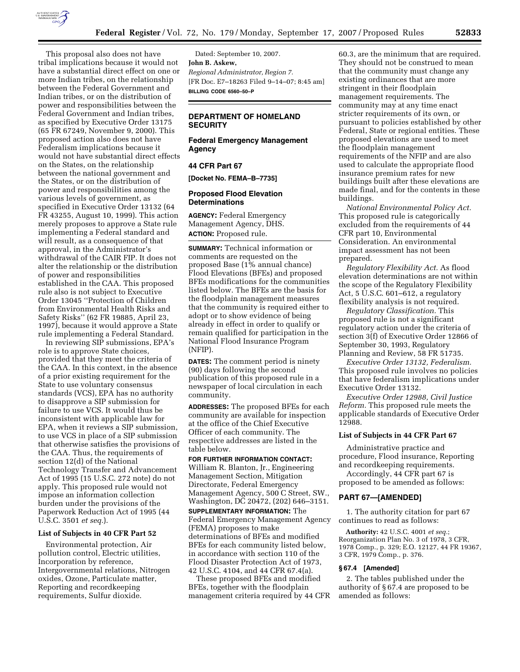

This proposal also does not have tribal implications because it would not have a substantial direct effect on one or more Indian tribes, on the relationship between the Federal Government and Indian tribes, or on the distribution of power and responsibilities between the Federal Government and Indian tribes, as specified by Executive Order 13175 (65 FR 67249, November 9, 2000). This proposed action also does not have Federalism implications because it would not have substantial direct effects on the States, on the relationship between the national government and the States, or on the distribution of power and responsibilities among the various levels of government, as specified in Executive Order 13132 (64 FR 43255, August 10, 1999). This action merely proposes to approve a State rule implementing a Federal standard and will result, as a consequence of that approval, in the Administrator's withdrawal of the CAIR FIP. It does not alter the relationship or the distribution of power and responsibilities established in the CAA. This proposed rule also is not subject to Executive Order 13045 ''Protection of Children from Environmental Health Risks and Safety Risks'' (62 FR 19885, April 23, 1997), because it would approve a State rule implementing a Federal Standard.

In reviewing SIP submissions, EPA's role is to approve State choices, provided that they meet the criteria of the CAA. In this context, in the absence of a prior existing requirement for the State to use voluntary consensus standards (VCS), EPA has no authority to disapprove a SIP submission for failure to use VCS. It would thus be inconsistent with applicable law for EPA, when it reviews a SIP submission, to use VCS in place of a SIP submission that otherwise satisfies the provisions of the CAA. Thus, the requirements of section 12(d) of the National Technology Transfer and Advancement Act of 1995 (15 U.S.C. 272 note) do not apply. This proposed rule would not impose an information collection burden under the provisions of the Paperwork Reduction Act of 1995 (44 U.S.C. 3501 *et seq.*).

#### **List of Subjects in 40 CFR Part 52**

Environmental protection, Air pollution control, Electric utilities, Incorporation by reference, Intergovernmental relations, Nitrogen oxides, Ozone, Particulate matter, Reporting and recordkeeping requirements, Sulfur dioxide.

Dated: September 10, 2007. **John B. Askew,**  *Regional Administrator, Region 7.*  [FR Doc. E7–18263 Filed 9–14–07; 8:45 am] **BILLING CODE 6560–50–P** 

## **DEPARTMENT OF HOMELAND SECURITY**

# **Federal Emergency Management Agency**

#### **44 CFR Part 67**

**[Docket No. FEMA–B–7735]** 

#### **Proposed Flood Elevation Determinations**

**AGENCY:** Federal Emergency Management Agency, DHS. **ACTION:** Proposed rule.

**SUMMARY:** Technical information or comments are requested on the proposed Base  $(1\%$  annual chance) Flood Elevations (BFEs) and proposed BFEs modifications for the communities listed below. The BFEs are the basis for the floodplain management measures that the community is required either to adopt or to show evidence of being already in effect in order to qualify or remain qualified for participation in the National Flood Insurance Program (NFIP).

**DATES:** The comment period is ninety (90) days following the second publication of this proposed rule in a newspaper of local circulation in each community.

**ADDRESSES:** The proposed BFEs for each community are available for inspection at the office of the Chief Executive Officer of each community. The respective addresses are listed in the table below.

## **FOR FURTHER INFORMATION CONTACT:**

William R. Blanton, Jr., Engineering Management Section, Mitigation Directorate, Federal Emergency Management Agency, 500 C Street, SW., Washington, DC 20472, (202) 646–3151.

**SUPPLEMENTARY INFORMATION:** The Federal Emergency Management Agency (FEMA) proposes to make determinations of BFEs and modified BFEs for each community listed below, in accordance with section 110 of the Flood Disaster Protection Act of 1973, 42 U.S.C. 4104, and 44 CFR 67.4(a).

These proposed BFEs and modified BFEs, together with the floodplain management criteria required by 44 CFR

60.3, are the minimum that are required. They should not be construed to mean that the community must change any existing ordinances that are more stringent in their floodplain management requirements. The community may at any time enact stricter requirements of its own, or pursuant to policies established by other Federal, State or regional entities. These proposed elevations are used to meet the floodplain management requirements of the NFIP and are also used to calculate the appropriate flood insurance premium rates for new buildings built after these elevations are made final, and for the contents in these buildings.

*National Environmental Policy Act.*  This proposed rule is categorically excluded from the requirements of 44 CFR part 10, Environmental Consideration. An environmental impact assessment has not been prepared.

*Regulatory Flexibility Act.* As flood elevation determinations are not within the scope of the Regulatory Flexibility Act, 5 U.S.C. 601–612, a regulatory flexibility analysis is not required.

*Regulatory Classification.* This proposed rule is not a significant regulatory action under the criteria of section 3(f) of Executive Order 12866 of September 30, 1993, Regulatory Planning and Review, 58 FR 51735.

*Executive Order 13132, Federalism.*  This proposed rule involves no policies that have federalism implications under Executive Order 13132.

*Executive Order 12988, Civil Justice Reform.* This proposed rule meets the applicable standards of Executive Order 12988.

#### **List of Subjects in 44 CFR Part 67**

Administrative practice and procedure, Flood insurance, Reporting and recordkeeping requirements.

Accordingly, 44 CFR part 67 is proposed to be amended as follows:

#### **PART 67—[AMENDED]**

1. The authority citation for part 67 continues to read as follows:

**Authority:** 42 U.S.C. 4001 *et seq.*; Reorganization Plan No. 3 of 1978, 3 CFR, 1978 Comp., p. 329; E.O. 12127, 44 FR 19367, 3 CFR, 1979 Comp., p. 376.

#### **§ 67.4 [Amended]**

2. The tables published under the authority of § 67.4 are proposed to be amended as follows: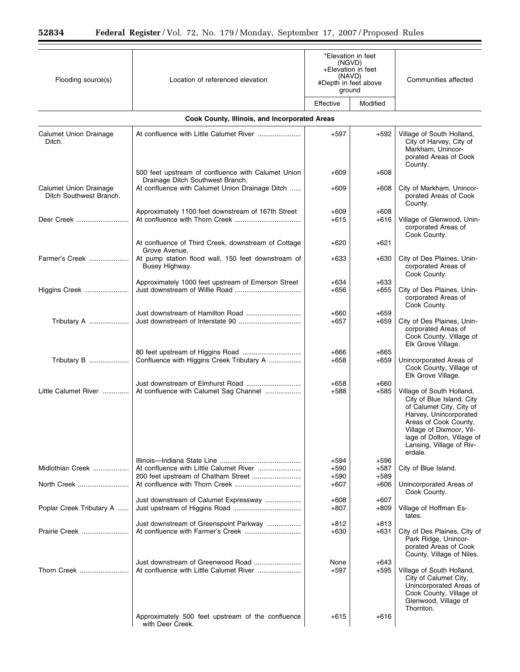| Flooding source(s)                                | *Elevation in feet<br>(NGVD)<br>+Elevation in feet<br>(NAVD)<br>Location of referenced elevation<br>#Depth in feet above<br>ground |                  | Communities affected |                                                                                                                                                                                                                                        |
|---------------------------------------------------|------------------------------------------------------------------------------------------------------------------------------------|------------------|----------------------|----------------------------------------------------------------------------------------------------------------------------------------------------------------------------------------------------------------------------------------|
|                                                   |                                                                                                                                    | Effective        | Modified             |                                                                                                                                                                                                                                        |
|                                                   |                                                                                                                                    |                  |                      |                                                                                                                                                                                                                                        |
|                                                   | Cook County, Illinois, and Incorporated Areas                                                                                      |                  |                      |                                                                                                                                                                                                                                        |
| Calumet Union Drainage<br>Ditch.                  |                                                                                                                                    | $+597$           | $+592$               | Village of South Holland,<br>City of Harvey, City of<br>Markham. Unincor-<br>porated Areas of Cook<br>County.                                                                                                                          |
|                                                   | 500 feet upstream of confluence with Calumet Union<br>Drainage Ditch Southwest Branch.                                             | $+609$           | $+608$               |                                                                                                                                                                                                                                        |
| Calumet Union Drainage<br>Ditch Southwest Branch. | At confluence with Calumet Union Drainage Ditch                                                                                    | $+609$           | $+608$               | City of Markham, Unincor-<br>porated Areas of Cook<br>County.                                                                                                                                                                          |
|                                                   | Approximately 1100 feet downstream of 167th Street                                                                                 | $+609$           | $+608$               |                                                                                                                                                                                                                                        |
| Deer Creek                                        |                                                                                                                                    | $+615$           | $+616$               | Village of Glenwood, Unin-<br>corporated Areas of<br>Cook County.                                                                                                                                                                      |
|                                                   | At confluence of Third Creek, downstream of Cottage<br>Grove Avenue.                                                               | $+620$           | $+621$               |                                                                                                                                                                                                                                        |
| Farmer's Creek                                    | At pump station flood wall, 150 feet downstream of<br>Busey Highway.                                                               | $+633$           | $+630$               | City of Des Plaines, Unin-<br>corporated Areas of<br>Cook County.                                                                                                                                                                      |
|                                                   | Approximately 1000 feet upstream of Emerson Street                                                                                 | $+634$           | $+633$               |                                                                                                                                                                                                                                        |
| Higgins Creek                                     |                                                                                                                                    | $+656$           | $+655$               | City of Des Plaines, Unin-<br>corporated Areas of<br>Cook County.                                                                                                                                                                      |
| Tributary A                                       |                                                                                                                                    | $+660$<br>$+657$ | $+659$<br>$+659$     | City of Des Plaines, Unin-<br>corporated Areas of<br>Cook County, Village of<br>Elk Grove Village.                                                                                                                                     |
| Tributary B                                       |                                                                                                                                    | $+666$           | $+665$               |                                                                                                                                                                                                                                        |
|                                                   | Confluence with Higgins Creek Tributary A                                                                                          | $+658$           | $+659$               | Unincorporated Areas of<br>Cook County, Village of<br>Elk Grove Village.                                                                                                                                                               |
| Little Calumet River                              | At confluence with Calumet Sag Channel                                                                                             | $+658$<br>$+588$ | $+660$<br>$+585$     | Village of South Holland,<br>City of Blue Island, City<br>of Calumet City, City of<br>Harvey, Unincorporated<br>Areas of Cook County,<br>Village of Dixmoor, Vil-<br>lage of Dolton, Village of<br>Lansing, Village of Riv-<br>erdale. |
| Midlothian Creek                                  |                                                                                                                                    | +594<br>$+590$   | $+596$<br>$+587$     | City of Blue Island.                                                                                                                                                                                                                   |
|                                                   | 200 feet upstream of Chatham Street                                                                                                | $+590$           | $+589$               |                                                                                                                                                                                                                                        |
| North Creek                                       |                                                                                                                                    | $+607$           | $+606$               | Unincorporated Areas of<br>Cook County.                                                                                                                                                                                                |
| Poplar Creek Tributary A                          | Just downstream of Calumet Expressway                                                                                              | $+608$<br>$+807$ | $+607$<br>$+809$     | Village of Hoffman Es-<br>tates.                                                                                                                                                                                                       |
| Prairie Creek                                     | Just downstream of Greenspoint Parkway                                                                                             | $+812$<br>$+630$ | $+813$<br>$+631$     | City of Des Plaines, City of<br>Park Ridge, Unincor-<br>porated Areas of Cook<br>County, Village of Niles.                                                                                                                             |
| Thorn Creek                                       | Just downstream of Greenwood Road                                                                                                  | None<br>$+597$   | $+643$<br>$+595$     | Village of South Holland,<br>City of Calumet City,<br>Unincorporated Areas of<br>Cook County, Village of<br>Glenwood, Village of<br>Thornton.                                                                                          |
|                                                   | Approximately 500 feet upstream of the confluence<br>with Deer Creek.                                                              | $+615$           | +616                 |                                                                                                                                                                                                                                        |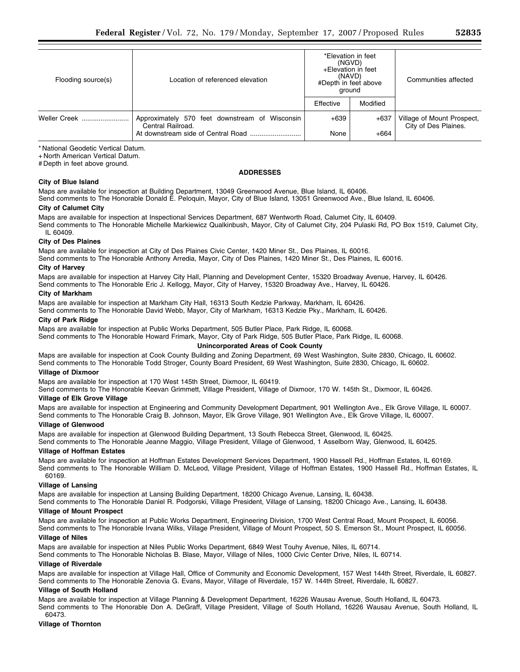| Flooding source(s) | Location of referenced elevation                                    | *Elevation in feet<br>(NGVD)<br>+Elevation in feet<br>(NAVD)<br>#Depth in feet above<br>ground |          | Communities affected                               |
|--------------------|---------------------------------------------------------------------|------------------------------------------------------------------------------------------------|----------|----------------------------------------------------|
|                    |                                                                     | Effective                                                                                      | Modified |                                                    |
| Weller Creek       | Approximately 570 feet downstream of Wisconsin<br>Central Railroad. | $+639$                                                                                         | $+637$   | Village of Mount Prospect,<br>City of Des Plaines. |
|                    | At downstream side of Central Road                                  | None                                                                                           | $+664$   |                                                    |

\* National Geodetic Vertical Datum.

+ North American Vertical Datum.

# Depth in feet above ground.

## **ADDRESSES**

## **City of Blue Island**

Maps are available for inspection at Building Department, 13049 Greenwood Avenue, Blue Island, IL 60406.

Send comments to The Honorable Donald E. Peloquin, Mayor, City of Blue Island, 13051 Greenwood Ave., Blue Island, IL 60406. **City of Calumet City** 

Maps are available for inspection at Inspectional Services Department, 687 Wentworth Road, Calumet City, IL 60409. Send comments to The Honorable Michelle Markiewicz Qualkinbush, Mayor, City of Calumet City, 204 Pulaski Rd, PO Box 1519, Calumet City, IL 60409.

## **City of Des Plaines**

Maps are available for inspection at City of Des Plaines Civic Center, 1420 Miner St., Des Plaines, IL 60016.

Send comments to The Honorable Anthony Arredia, Mayor, City of Des Plaines, 1420 Miner St., Des Plaines, IL 60016.

## **City of Harvey**

Maps are available for inspection at Harvey City Hall, Planning and Development Center, 15320 Broadway Avenue, Harvey, IL 60426.

Send comments to The Honorable Eric J. Kellogg, Mayor, City of Harvey, 15320 Broadway Ave., Harvey, IL 60426.

# **City of Markham**

Maps are available for inspection at Markham City Hall, 16313 South Kedzie Parkway, Markham, IL 60426.

Send comments to The Honorable David Webb, Mayor, City of Markham, 16313 Kedzie Pky., Markham, IL 60426.

## **City of Park Ridge**

Maps are available for inspection at Public Works Department, 505 Butler Place, Park Ridge, IL 60068.

Send comments to The Honorable Howard Frimark, Mayor, City of Park Ridge, 505 Butler Place, Park Ridge, IL 60068.

# **Unincorporated Areas of Cook County**

Maps are available for inspection at Cook County Building and Zoning Department, 69 West Washington, Suite 2830, Chicago, IL 60602. Send comments to The Honorable Todd Stroger, County Board President, 69 West Washington, Suite 2830, Chicago, IL 60602.

## **Village of Dixmoor**

Maps are available for inspection at 170 West 145th Street, Dixmoor, IL 60419.

Send comments to The Honorable Keevan Grimmett, Village President, Village of Dixmoor, 170 W. 145th St., Dixmoor, IL 60426.

#### **Village of Elk Grove Village**

Maps are available for inspection at Engineering and Community Development Department, 901 Wellington Ave., Elk Grove Village, IL 60007. Send comments to The Honorable Craig B. Johnson, Mayor, Elk Grove Village, 901 Wellington Ave., Elk Grove Village, IL 60007.

## **Village of Glenwood**

Maps are available for inspection at Glenwood Building Department, 13 South Rebecca Street, Glenwood, IL 60425.

Send comments to The Honorable Jeanne Maggio, Village President, Village of Glenwood, 1 Asselborn Way, Glenwood, IL 60425. **Village of Hoffman Estates** 

Maps are available for inspection at Hoffman Estates Development Services Department, 1900 Hassell Rd., Hoffman Estates, IL 60169. Send comments to The Honorable William D. McLeod, Village President, Village of Hoffman Estates, 1900 Hassell Rd., Hoffman Estates, IL 60169.

## **Village of Lansing**

Maps are available for inspection at Lansing Building Department, 18200 Chicago Avenue, Lansing, IL 60438.

Send comments to The Honorable Daniel R. Podgorski, Village President, Village of Lansing, 18200 Chicago Ave., Lansing, IL 60438.

# **Village of Mount Prospect**

Maps are available for inspection at Public Works Department, Engineering Division, 1700 West Central Road, Mount Prospect, IL 60056. Send comments to The Honorable Irvana Wilks, Village President, Village of Mount Prospect, 50 S. Emerson St., Mount Prospect, IL 60056.

## **Village of Niles**

Maps are available for inspection at Niles Public Works Department, 6849 West Touhy Avenue, Niles, IL 60714.

Send comments to The Honorable Nicholas B. Blase, Mayor, Village of Niles, 1000 Civic Center Drive, Niles, IL 60714.

#### **Village of Riverdale**

Maps are available for inspection at Village Hall, Office of Community and Economic Development, 157 West 144th Street, Riverdale, IL 60827. Send comments to The Honorable Zenovia G. Evans, Mayor, Village of Riverdale, 157 W. 144th Street, Riverdale, IL 60827.

#### **Village of South Holland**

Maps are available for inspection at Village Planning & Development Department, 16226 Wausau Avenue, South Holland, IL 60473.

Send comments to The Honorable Don A. DeGraff, Village President, Village of South Holland, 16226 Wausau Avenue, South Holland, IL 60473.

# **Village of Thornton**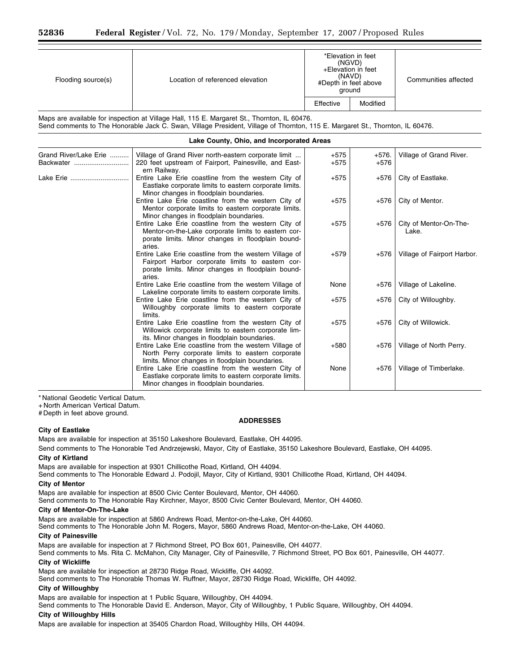| Flooding source(s)                                                                                                                                                                                                           | Location of referenced elevation                                                                                                                                          | *Elevation in feet<br>(NGVD)<br>+Elevation in feet<br>(NAVD)<br>#Depth in feet above<br>ground |                   | Communities affected            |
|------------------------------------------------------------------------------------------------------------------------------------------------------------------------------------------------------------------------------|---------------------------------------------------------------------------------------------------------------------------------------------------------------------------|------------------------------------------------------------------------------------------------|-------------------|---------------------------------|
|                                                                                                                                                                                                                              |                                                                                                                                                                           | Effective                                                                                      | Modified          |                                 |
| Maps are available for inspection at Village Hall, 115 E. Margaret St., Thornton, IL 60476.<br>Send comments to The Honorable Jack C. Swan, Village President, Village of Thornton, 115 E. Margaret St., Thornton, IL 60476. |                                                                                                                                                                           |                                                                                                |                   |                                 |
|                                                                                                                                                                                                                              | Lake County, Ohio, and Incorporated Areas                                                                                                                                 |                                                                                                |                   |                                 |
| Grand River/Lake Erie<br>Backwater                                                                                                                                                                                           | Village of Grand River north-eastern corporate limit<br>220 feet upstream of Fairport, Painesville, and East-<br>ern Railway.                                             | $+575$<br>$+575$                                                                               | $+576.$<br>$+576$ | Village of Grand River.         |
| Lake Erie                                                                                                                                                                                                                    | Entire Lake Erie coastline from the western City of<br>Eastlake corporate limits to eastern corporate limits.<br>Minor changes in floodplain boundaries.                  | +575                                                                                           | +576              | City of Eastlake.               |
|                                                                                                                                                                                                                              | Entire Lake Erie coastline from the western City of<br>Mentor corporate limits to eastern corporate limits.<br>Minor changes in floodplain boundaries.                    | $+575$                                                                                         | $+576$            | City of Mentor.                 |
|                                                                                                                                                                                                                              | Entire Lake Erie coastline from the western City of<br>Mentor-on-the-Lake corporate limits to eastern cor-<br>porate limits. Minor changes in floodplain bound-<br>aries. | $+575$                                                                                         | $+576$            | City of Mentor-On-The-<br>Lake. |
|                                                                                                                                                                                                                              | Entire Lake Erie coastline from the western Village of<br>Fairport Harbor corporate limits to eastern cor-<br>porate limits. Minor changes in floodplain bound-<br>aries. | $+579$                                                                                         | $+576$            | Village of Fairport Harbor.     |
|                                                                                                                                                                                                                              | Entire Lake Erie coastline from the western Village of<br>Lakeline corporate limits to eastern corporate limits.                                                          | None                                                                                           | $+576$            | Village of Lakeline.            |
|                                                                                                                                                                                                                              | Entire Lake Erie coastline from the western City of<br>Willoughby corporate limits to eastern corporate<br>limits.                                                        | $+575$                                                                                         | $+576$            | City of Willoughby.             |
|                                                                                                                                                                                                                              | Entire Lake Erie coastline from the western City of<br>Willowick corporate limits to eastern corporate lim-<br>its. Minor changes in floodplain boundaries.               | $+575$                                                                                         | $+576$            | City of Willowick.              |
|                                                                                                                                                                                                                              | Entire Lake Erie coastline from the western Village of<br>North Perry corporate limits to eastern corporate<br>limits. Minor changes in floodplain boundaries.            | $+580$                                                                                         | $+576$            | Village of North Perry.         |
|                                                                                                                                                                                                                              | Entire Lake Erie coastline from the western City of<br>Eastlake corporate limits to eastern corporate limits.<br>Minor changes in floodplain boundaries.                  | None                                                                                           | $+576$            | Village of Timberlake.          |

\* National Geodetic Vertical Datum.

+ North American Vertical Datum. # Depth in feet above ground.

#### **ADDRESSES**

#### **City of Eastlake**

Maps are available for inspection at 35150 Lakeshore Boulevard, Eastlake, OH 44095.

Send comments to The Honorable Ted Andrzejewski, Mayor, City of Eastlake, 35150 Lakeshore Boulevard, Eastlake, OH 44095. **City of Kirtland** 

Maps are available for inspection at 9301 Chillicothe Road, Kirtland, OH 44094.

Send comments to The Honorable Edward J. Podojil, Mayor, City of Kirtland, 9301 Chillicothe Road, Kirtland, OH 44094.

## **City of Mentor**

Maps are available for inspection at 8500 Civic Center Boulevard, Mentor, OH 44060.

Send comments to The Honorable Ray Kirchner, Mayor, 8500 Civic Center Boulevard, Mentor, OH 44060.

#### **City of Mentor-On-The-Lake**

Maps are available for inspection at 5860 Andrews Road, Mentor-on-the-Lake, OH 44060.

Send comments to The Honorable John M. Rogers, Mayor, 5860 Andrews Road, Mentor-on-the-Lake, OH 44060.

#### **City of Painesville**

Maps are available for inspection at 7 Richmond Street, PO Box 601, Painesville, OH 44077.

Send comments to Ms. Rita C. McMahon, City Manager, City of Painesville, 7 Richmond Street, PO Box 601, Painesville, OH 44077.

# **City of Wickliffe**

Maps are available for inspection at 28730 Ridge Road, Wickliffe, OH 44092.

Send comments to The Honorable Thomas W. Ruffner, Mayor, 28730 Ridge Road, Wickliffe, OH 44092.

#### **City of Willoughby**

Maps are available for inspection at 1 Public Square, Willoughby, OH 44094.

Send comments to The Honorable David E. Anderson, Mayor, City of Willoughby, 1 Public Square, Willoughby, OH 44094.

## **City of Willoughby Hills**

Maps are available for inspection at 35405 Chardon Road, Willoughby Hills, OH 44094.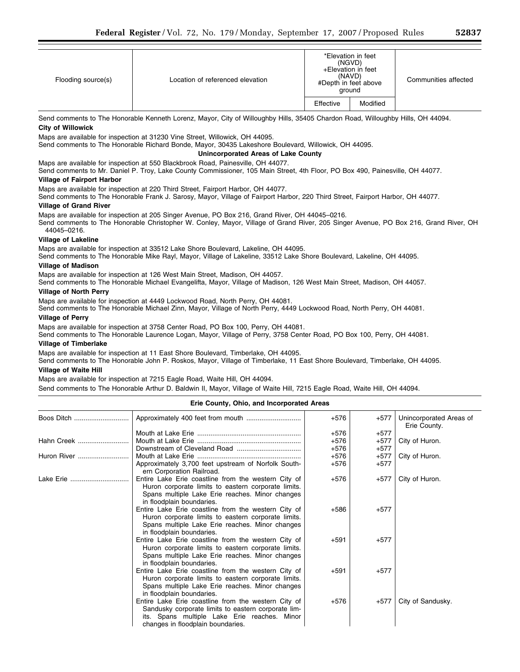| Flooding source(s) | Location of referenced elevation |           | *Elevation in feet<br>(NGVD)<br>+Elevation in feet<br>(NAVD)<br>#Depth in feet above<br>ground | Communities affected |
|--------------------|----------------------------------|-----------|------------------------------------------------------------------------------------------------|----------------------|
|                    |                                  | Effective | Modified                                                                                       |                      |

Send comments to The Honorable Kenneth Lorenz, Mayor, City of Willoughby Hills, 35405 Chardon Road, Willoughby Hills, OH 44094. **City of Willowick** 

Maps are available for inspection at 31230 Vine Street, Willowick, OH 44095.

Send comments to The Honorable Richard Bonde, Mayor, 30435 Lakeshore Boulevard, Willowick, OH 44095.

## **Unincorporated Areas of Lake County**

# Maps are available for inspection at 550 Blackbrook Road, Painesville, OH 44077.

Send comments to Mr. Daniel P. Troy, Lake County Commissioner, 105 Main Street, 4th Floor, PO Box 490, Painesville, OH 44077. **Village of Fairport Harbor** 

Maps are available for inspection at 220 Third Street, Fairport Harbor, OH 44077.

Send comments to The Honorable Frank J. Sarosy, Mayor, Village of Fairport Harbor, 220 Third Street, Fairport Harbor, OH 44077. **Village of Grand River** 

Maps are available for inspection at 205 Singer Avenue, PO Box 216, Grand River, OH 44045–0216.

Send comments to The Honorable Christopher W. Conley, Mayor, Village of Grand River, 205 Singer Avenue, PO Box 216, Grand River, OH 44045–0216.

## **Village of Lakeline**

Maps are available for inspection at 33512 Lake Shore Boulevard, Lakeline, OH 44095.

Send comments to The Honorable Mike Rayl, Mayor, Village of Lakeline, 33512 Lake Shore Boulevard, Lakeline, OH 44095.

## **Village of Madison**

Maps are available for inspection at 126 West Main Street, Madison, OH 44057.

Send comments to The Honorable Michael Evangelifta, Mayor, Village of Madison, 126 West Main Street, Madison, OH 44057.

## **Village of North Perry**

Maps are available for inspection at 4449 Lockwood Road, North Perry, OH 44081.

Send comments to The Honorable Michael Zinn, Mayor, Village of North Perry, 4449 Lockwood Road, North Perry, OH 44081.

## **Village of Perry**

Maps are available for inspection at 3758 Center Road, PO Box 100, Perry, OH 44081.

Send comments to The Honorable Laurence Logan, Mayor, Village of Perry, 3758 Center Road, PO Box 100, Perry, OH 44081.

## **Village of Timberlake**

Maps are available for inspection at 11 East Shore Boulevard, Timberlake, OH 44095.

Send comments to The Honorable John P. Roskos, Mayor, Village of Timberlake, 11 East Shore Boulevard, Timberlake, OH 44095.

## **Village of Waite Hill**

Maps are available for inspection at 7215 Eagle Road, Waite Hill, OH 44094.

Send comments to The Honorable Arthur D. Baldwin II, Mayor, Village of Waite Hill, 7215 Eagle Road, Waite Hill, OH 44094.

## **Erie County, Ohio, and Incorporated Areas**

| Boos Ditch  |                                                                                                                                                                                                 | $+576$ | +577   | Unincorporated Areas of<br>Erie County. |
|-------------|-------------------------------------------------------------------------------------------------------------------------------------------------------------------------------------------------|--------|--------|-----------------------------------------|
|             |                                                                                                                                                                                                 | $+576$ | $+577$ |                                         |
| Hahn Creek  |                                                                                                                                                                                                 | $+576$ | $+577$ | City of Huron.                          |
|             |                                                                                                                                                                                                 | $+576$ | $+577$ |                                         |
| Huron River |                                                                                                                                                                                                 | $+576$ | $+577$ | City of Huron.                          |
|             | Approximately 3,700 feet upstream of Norfolk South-<br>ern Corporation Railroad.                                                                                                                | $+576$ | $+577$ |                                         |
| Lake Erie   | Entire Lake Erie coastline from the western City of<br>Huron corporate limits to eastern corporate limits.<br>Spans multiple Lake Erie reaches. Minor changes<br>in floodplain boundaries.      | $+576$ | +577   | City of Huron.                          |
|             | Entire Lake Erie coastline from the western City of<br>Huron corporate limits to eastern corporate limits.<br>Spans multiple Lake Erie reaches. Minor changes<br>in floodplain boundaries.      | $+586$ | $+577$ |                                         |
|             | Entire Lake Erie coastline from the western City of<br>Huron corporate limits to eastern corporate limits.<br>Spans multiple Lake Erie reaches. Minor changes<br>in floodplain boundaries.      | $+591$ | $+577$ |                                         |
|             | Entire Lake Erie coastline from the western City of<br>Huron corporate limits to eastern corporate limits.<br>Spans multiple Lake Erie reaches. Minor changes<br>in floodplain boundaries.      | $+591$ | $+577$ |                                         |
|             | Entire Lake Erie coastline from the western City of<br>Sandusky corporate limits to eastern corporate lim-<br>its. Spans multiple Lake Erie reaches. Minor<br>changes in floodplain boundaries. | $+576$ | $+577$ | City of Sandusky.                       |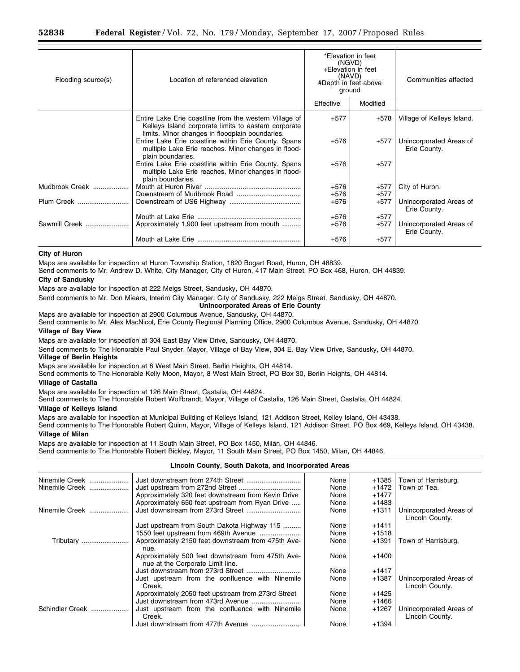| Flooding source(s) | Location of referenced elevation                                                                                                                                  | *Elevation in feet<br>(NGVD)<br>+Elevation in feet<br>(NAVD)<br>#Depth in feet above<br>ground |          | Communities affected                    |
|--------------------|-------------------------------------------------------------------------------------------------------------------------------------------------------------------|------------------------------------------------------------------------------------------------|----------|-----------------------------------------|
|                    |                                                                                                                                                                   | Effective                                                                                      | Modified |                                         |
|                    | Entire Lake Erie coastline from the western Village of<br>Kelleys Island corporate limits to eastern corporate<br>limits. Minor changes in floodplain boundaries. | $+577$                                                                                         | +578     | Village of Kelleys Island.              |
|                    | Entire Lake Erie coastline within Erie County. Spans<br>multiple Lake Erie reaches. Minor changes in flood-<br>plain boundaries.                                  | $+576$                                                                                         | $+577$   | Unincorporated Areas of<br>Erie County. |
|                    | Entire Lake Erie coastline within Erie County. Spans<br>multiple Lake Erie reaches. Minor changes in flood-<br>plain boundaries.                                  | $+576$                                                                                         | $+577$   |                                         |
| Mudbrook Creek     |                                                                                                                                                                   | $+576$                                                                                         | $+577$   | City of Huron.                          |
|                    |                                                                                                                                                                   | $+576$                                                                                         | $+577$   |                                         |
| Plum Creek         |                                                                                                                                                                   | $+576$                                                                                         | $+577$   | Unincorporated Areas of<br>Erie County. |
|                    |                                                                                                                                                                   | $+576$                                                                                         | $+577$   |                                         |
| Sawmill Creek      | Approximately 1,900 feet upstream from mouth                                                                                                                      | $+576$                                                                                         | $+577$   | Unincorporated Areas of<br>Erie County. |
|                    |                                                                                                                                                                   | $+576$                                                                                         | $+577$   |                                         |

#### **City of Huron**

Maps are available for inspection at Huron Township Station, 1820 Bogart Road, Huron, OH 48839.

Send comments to Mr. Andrew D. White, City Manager, City of Huron, 417 Main Street, PO Box 468, Huron, OH 44839.

### **City of Sandusky**

Maps are available for inspection at 222 Meigs Street, Sandusky, OH 44870.

Send comments to Mr. Don Miears, Interim City Manager, City of Sandusky, 222 Meigs Street, Sandusky, OH 44870.

**Unincorporated Areas of Erie County** 

Maps are available for inspection at 2900 Columbus Avenue, Sandusky, OH 44870.

Send comments to Mr. Alex MacNicol, Erie County Regional Planning Office, 2900 Columbus Avenue, Sandusky, OH 44870. **Village of Bay View** 

Maps are available for inspection at 304 East Bay View Drive, Sandusky, OH 44870.

Send comments to The Honorable Paul Snyder, Mayor, Village of Bay View, 304 E. Bay View Drive, Sandusky, OH 44870.

# **Village of Berlin Heights**

Maps are available for inspection at 8 West Main Street, Berlin Heights, OH 44814.

Send comments to The Honorable Kelly Moon, Mayor, 8 West Main Street, PO Box 30, Berlin Heights, OH 44814.

## **Village of Castalia**

Maps are available for inspection at 126 Main Street, Castalia, OH 44824.

Send comments to The Honorable Robert Wolfbrandt, Mayor, Village of Castalia, 126 Main Street, Castalia, OH 44824.

#### **Village of Kelleys Island**

Maps are available for inspection at Municipal Building of Kelleys Island, 121 Addison Street, Kelley Island, OH 43438.

Send comments to The Honorable Robert Quinn, Mayor, Village of Kelleys Island, 121 Addison Street, PO Box 469, Kelleys Island, OH 43438. **Village of Milan** 

Maps are available for inspection at 11 South Main Street, PO Box 1450, Milan, OH 44846.

Send comments to The Honorable Robert Bickley, Mayor, 11 South Main Street, PO Box 1450, Milan, OH 44846.

# **Lincoln County, South Dakota, and Incorporated Areas**

| Ninemile Creek  | Just downstream from 274th Street                                                     | None | $+1385$ | Town of Harrisburg.                        |
|-----------------|---------------------------------------------------------------------------------------|------|---------|--------------------------------------------|
| Ninemile Creek  |                                                                                       | None | $+1472$ | Town of Tea.                               |
|                 | Approximately 320 feet downstream from Kevin Drive                                    | None | $+1477$ |                                            |
|                 | Approximately 650 feet upstream from Ryan Drive                                       | None | $+1483$ |                                            |
| Ninemile Creek  |                                                                                       | None | $+1311$ | Unincorporated Areas of<br>Lincoln County. |
|                 | Just upstream from South Dakota Highway 115                                           | None | $+1411$ |                                            |
|                 |                                                                                       | None | $+1518$ |                                            |
| Tributary       | Approximately 2150 feet downstream from 475th Ave-<br>nue.                            | None | $+1391$ | Town of Harrisburg.                        |
|                 | Approximately 500 feet downstream from 475th Ave-<br>nue at the Corporate Limit line. | None | $+1400$ |                                            |
|                 |                                                                                       | None | $+1417$ |                                            |
|                 | Just upstream from the confluence with Ninemile<br>Creek.                             | None | $+1387$ | Unincorporated Areas of<br>Lincoln County. |
|                 | Approximately 2050 feet upstream from 273rd Street                                    | None | $+1425$ |                                            |
|                 |                                                                                       | None | +1466   |                                            |
| Schindler Creek | Just upstream from the confluence with Ninemile<br>Creek.                             | None | $+1267$ | Unincorporated Areas of<br>Lincoln County. |
|                 |                                                                                       | None | +1394   |                                            |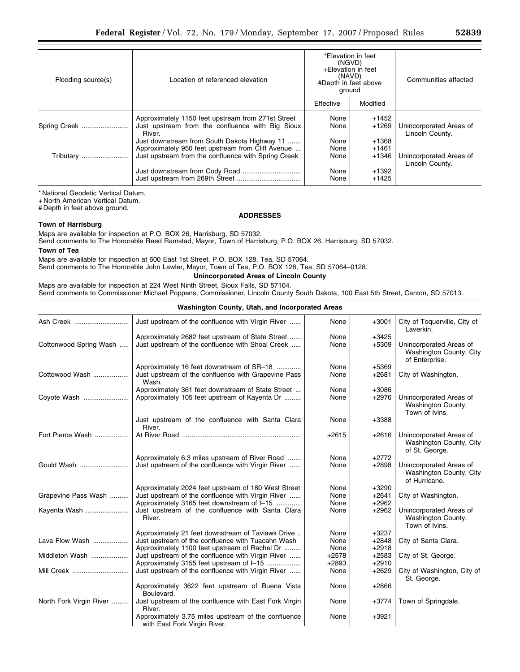| Flooding source(s) | Location of referenced elevation                                                                                                                         |                      | *Elevation in feet<br>(NGVD)<br>+Elevation in feet<br>(NAVD)<br>#Depth in feet above<br>ground | Communities affected                       |
|--------------------|----------------------------------------------------------------------------------------------------------------------------------------------------------|----------------------|------------------------------------------------------------------------------------------------|--------------------------------------------|
|                    |                                                                                                                                                          | Effective            | Modified                                                                                       |                                            |
| Spring Creek       | Approximately 1150 feet upstream from 271st Street<br>Just upstream from the confluence with Big Sioux<br>River.                                         | None<br>None         | +1452<br>$+1269$                                                                               | Unincorporated Areas of<br>Lincoln County. |
| Tributary          | Just downstream from South Dakota Highway 11<br>Approximately 950 feet upstream from Cliff Avenue<br>Just upstream from the confluence with Spring Creek | None<br>None<br>None | $+1368$<br>$+1461$<br>$+1346$                                                                  | Unincorporated Areas of<br>Lincoln County. |
|                    |                                                                                                                                                          | None<br>None         | $+1392$<br>$+1425$                                                                             |                                            |

\* National Geodetic Vertical Datum.

+ North American Vertical Datum.

# Depth in feet above ground.

# **ADDRESSES**

# **Town of Harrisburg**

Maps are available for inspection at P.O. BOX 26, Harrisburg, SD 57032.

Send comments to The Honorable Reed Ramstad, Mayor, Town of Harrisburg, P.O. BOX 26, Harrisburg, SD 57032. **Town of Tea** 

Maps are available for inspection at 600 East 1st Street, P.O. BOX 128, Tea, SD 57064.

Send comments to The Honorable John Lawler, Mayor, Town of Tea, P.O. BOX 128, Tea, SD 57064–0128.

# **Unincorporated Areas of Lincoln County**

Maps are available for inspection at 224 West Ninth Street, Sioux Falls, SD 57104. Send comments to Commissioner Michael Poppens, Commissioner, Lincoln County South Dakota, 100 East 5th Street, Canton, SD 57013.

| Washington County, Utah, and Incorporated Areas |                                                                                                           |                 |                    |                                                                      |
|-------------------------------------------------|-----------------------------------------------------------------------------------------------------------|-----------------|--------------------|----------------------------------------------------------------------|
| Ash Creek                                       | Just upstream of the confluence with Virgin River                                                         | None            | $+3001$            | City of Toquerville, City of<br>Laverkin.                            |
| Cottonwood Spring Wash                          | Approximately 2682 feet upstream of State Street<br>Just upstream of the confluence with Shoal Creek      | None<br>None    | $+3425$<br>$+5309$ | Unincorporated Areas of<br>Washington County, City<br>of Enterprise. |
| Cottowood Wash                                  | Approximately 16 feet downstream of SR-18<br>Just upstream of the confluence with Grapevine Pass<br>Wash. | None<br>None    | $+5369$<br>$+2681$ | City of Washington.                                                  |
| Coyote Wash                                     | Approximately 361 feet downstream of State Street<br>Approximately 105 feet upstream of Kayenta Dr        | None<br>None    | $+3086$<br>$+2976$ | Unincorporated Areas of<br>Washington County,<br>Town of Ivins.      |
|                                                 | Just upstream of the confluence with Santa Clara<br>River.                                                | None            | +3388              |                                                                      |
| Fort Pierce Wash                                |                                                                                                           | $+2615$         | $+2616$            | Unincorporated Areas of<br>Washington County, City<br>of St. George. |
|                                                 | Approximately 6.3 miles upstream of River Road                                                            | None            | $+2772$            |                                                                      |
| Gould Wash                                      | Just upstream of the confluence with Virgin River                                                         | None            | $+2898$            | Unincorporated Areas of<br>Washington County, City<br>of Hurricane.  |
|                                                 | Approximately 2024 feet upstream of 180 West Street                                                       | None            | $+3290$            |                                                                      |
| Grapevine Pass Wash                             | Just upstream of the confluence with Virgin River                                                         | None            | $+2641$            | City of Washington.                                                  |
|                                                 | Approximately 3165 feet downstream of I-15                                                                | None            | $+2962$            |                                                                      |
| Kayenta Wash                                    | Just upstream of the confluence with Santa Clara<br>River.                                                | None            | $+2962$            | Unincorporated Areas of<br>Washington County,<br>Town of Ivins.      |
|                                                 | Approximately 21 feet downstream of Taviawk Drive                                                         | None            | $+3237$            |                                                                      |
| Lava Flow Wash                                  | Just upstream of the confluence with Tuacahn Wash                                                         | None            | $+2848$<br>$+2918$ | City of Santa Clara.                                                 |
| Middleton Wash                                  | Approximately 1100 feet upstream of Rachel Dr<br>Just upstream of the confluence with Virgin River        | None<br>$+2578$ | $+2583$            | City of St. George.                                                  |
|                                                 | Approximately 3155 feet upstream of I-15                                                                  | $+2893$         | $+2910$            |                                                                      |
| Mill Creek                                      | Just upstream of the confluence with Virgin River                                                         | None            | $+2629$            | City of Washington, City of<br>St. George.                           |
|                                                 | Approximately 3622 feet upstream of Buena Vista<br>Boulevard.                                             | None            | $+2866$            |                                                                      |
| North Fork Virgin River                         | Just upstream of the confluence with East Fork Virgin<br>River.                                           | None            | $+3774$            | Town of Springdale.                                                  |
|                                                 | Approximately 3.75 miles upstream of the confluence<br>with East Fork Virgin River.                       | None            | $+3921$            |                                                                      |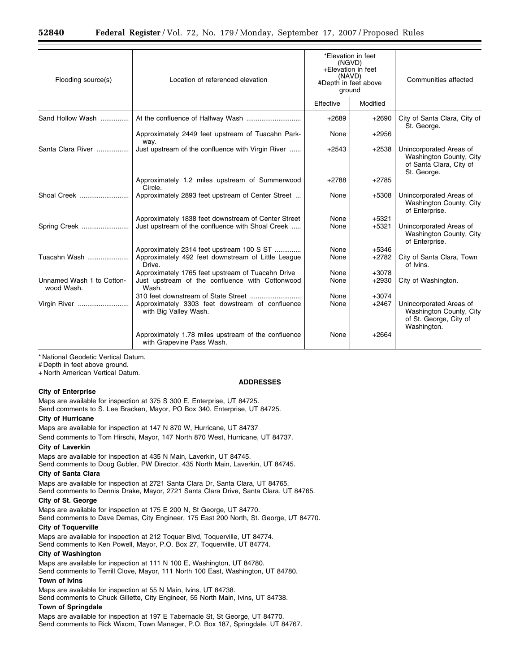| Flooding source(s)                      | Location of referenced elevation                                                                              | *Elevation in feet<br>(NGVD)<br>+Elevation in feet<br>(NAVD)<br>#Depth in feet above<br>ground |                    | Communities affected                                                                         |
|-----------------------------------------|---------------------------------------------------------------------------------------------------------------|------------------------------------------------------------------------------------------------|--------------------|----------------------------------------------------------------------------------------------|
|                                         |                                                                                                               | Effective                                                                                      | Modified           |                                                                                              |
| Sand Hollow Wash                        |                                                                                                               | $+2689$                                                                                        | $+2690$            | City of Santa Clara, City of<br>St. George.                                                  |
|                                         | Approximately 2449 feet upstream of Tuacahn Park-                                                             | None                                                                                           | $+2956$            |                                                                                              |
| Santa Clara River                       | way.<br>Just upstream of the confluence with Virgin River                                                     | $+2543$                                                                                        | $+2538$            | Unincorporated Areas of<br>Washington County, City<br>of Santa Clara, City of<br>St. George. |
|                                         | Approximately 1.2 miles upstream of Summerwood<br>Circle.                                                     | $+2788$                                                                                        | $+2785$            |                                                                                              |
| Shoal Creek                             | Approximately 2893 feet upstream of Center Street                                                             | None                                                                                           | $+5308$            | Unincorporated Areas of<br>Washington County, City<br>of Enterprise.                         |
| Spring Creek                            | Approximately 1838 feet downstream of Center Street<br>Just upstream of the confluence with Shoal Creek       | None<br>None                                                                                   | $+5321$<br>$+5321$ | Unincorporated Areas of<br>Washington County, City<br>of Enterprise.                         |
| Tuacahn Wash                            | Approximately 2314 feet upstream 100 S ST<br>Approximately 492 feet downstream of Little League<br>Drive.     | None<br>None                                                                                   | $+5346$<br>$+2782$ | City of Santa Clara, Town<br>of Ivins.                                                       |
| Unnamed Wash 1 to Cotton-<br>wood Wash. | Approximately 1765 feet upstream of Tuacahn Drive<br>Just upstream of the confluence with Cottonwood<br>Wash. | None<br>None                                                                                   | $+3078$<br>$+2930$ | City of Washington.                                                                          |
| Virgin River                            | Approximately 3303 feet dowstream of confluence<br>with Big Valley Wash.                                      | None<br>None                                                                                   | $+3074$<br>$+2467$ | Unincorporated Areas of<br>Washington County, City<br>of St. George, City of<br>Washington.  |
|                                         | Approximately 1.78 miles upstream of the confluence<br>with Grapevine Pass Wash.                              | None                                                                                           | $+2664$            |                                                                                              |

**ADDRESSES** 

\* National Geodetic Vertical Datum.

# Depth in feet above ground.

+ North American Vertical Datum.

## **City of Enterprise**

Maps are available for inspection at 375 S 300 E, Enterprise, UT 84725. Send comments to S. Lee Bracken, Mayor, PO Box 340, Enterprise, UT 84725.

## **City of Hurricane**

Maps are available for inspection at 147 N 870 W, Hurricane, UT 84737

Send comments to Tom Hirschi, Mayor, 147 North 870 West, Hurricane, UT 84737.

# **City of Laverkin**

Maps are available for inspection at 435 N Main, Laverkin, UT 84745. Send comments to Doug Gubler, PW Director, 435 North Main, Laverkin, UT 84745.

#### **City of Santa Clara**

Maps are available for inspection at 2721 Santa Clara Dr, Santa Clara, UT 84765. Send comments to Dennis Drake, Mayor, 2721 Santa Clara Drive, Santa Clara, UT 84765.

#### **City of St. George**

Maps are available for inspection at 175 E 200 N, St George, UT 84770. Send comments to Dave Demas, City Engineer, 175 East 200 North, St. George, UT 84770.

#### **City of Toquerville**

Maps are available for inspection at 212 Toquer Blvd, Toquerville, UT 84774. Send comments to Ken Powell, Mayor, P.O. Box 27, Toquerville, UT 84774.

#### **City of Washington**

Maps are available for inspection at 111 N 100 E, Washington, UT 84780. Send comments to Terrill Clove, Mayor, 111 North 100 East, Washington, UT 84780.

## **Town of Ivins**

Maps are available for inspection at 55 N Main, Ivins, UT 84738. Send comments to Chuck Gillette, City Engineer, 55 North Main, Ivins, UT 84738.

#### **Town of Springdale**

Maps are available for inspection at 197 E Tabernacle St, St George, UT 84770. Send comments to Rick Wixom, Town Manager, P.O. Box 187, Springdale, UT 84767.